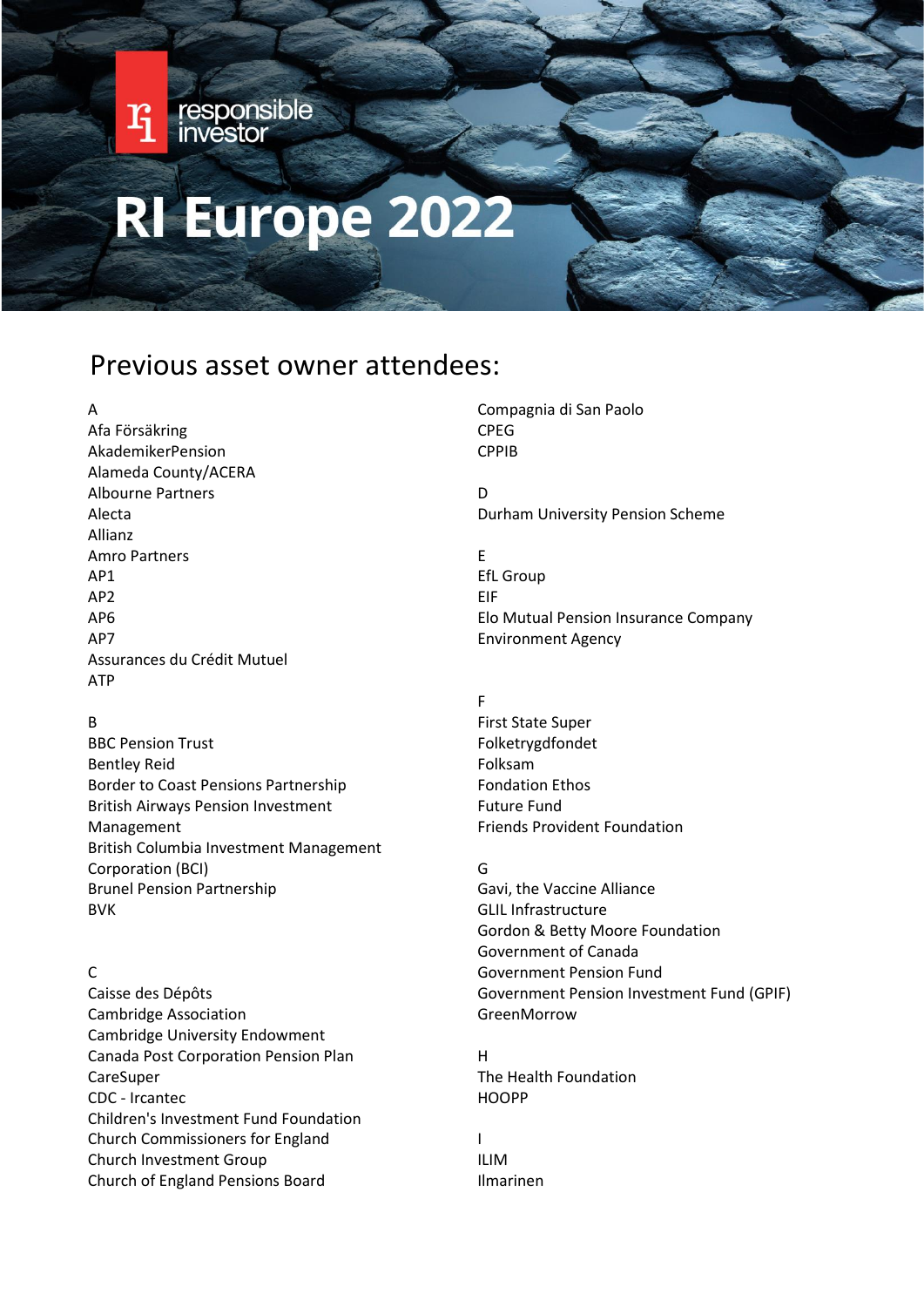# RI Europe 2022

responsible<br>investor

# Previous asset owner attendees:

#### A

 $\mathbf{r}_i$ 

Afa Försäkring AkademikerPension Alameda County/ACERA Albourne Partners Alecta Allianz Amro Partners AP1 AP2 AP6 AP7 Assurances du Crédit Mutuel ATP

# B

BBC Pension Trust Bentley Reid Border to Coast Pensions Partnership British Airways Pension Investment Management British Columbia Investment Management Corporation (BCI) Brunel Pension Partnership BVK

# $\mathsf{C}$

Caisse des Dépôts Cambridge Association Cambridge University Endowment Canada Post Corporation Pension Plan CareSuper CDC - Ircantec Children's Investment Fund Foundation Church Commissioners for England Church Investment Group Church of England Pensions Board

Compagnia di San Paolo CPEG CPPIB

D Durham University Pension Scheme

E EfL Group EIF Elo Mutual Pension Insurance Company Environment Agency

#### F

First State Super Folketrygdfondet Folksam Fondation Ethos Future Fund Friends Provident Foundation

#### G

Gavi, the Vaccine Alliance GLIL Infrastructure Gordon & Betty Moore Foundation Government of Canada Government Pension Fund Government Pension Investment Fund (GPIF) GreenMorrow

H The Health Foundation HOOPP

# I ILIM Ilmarinen